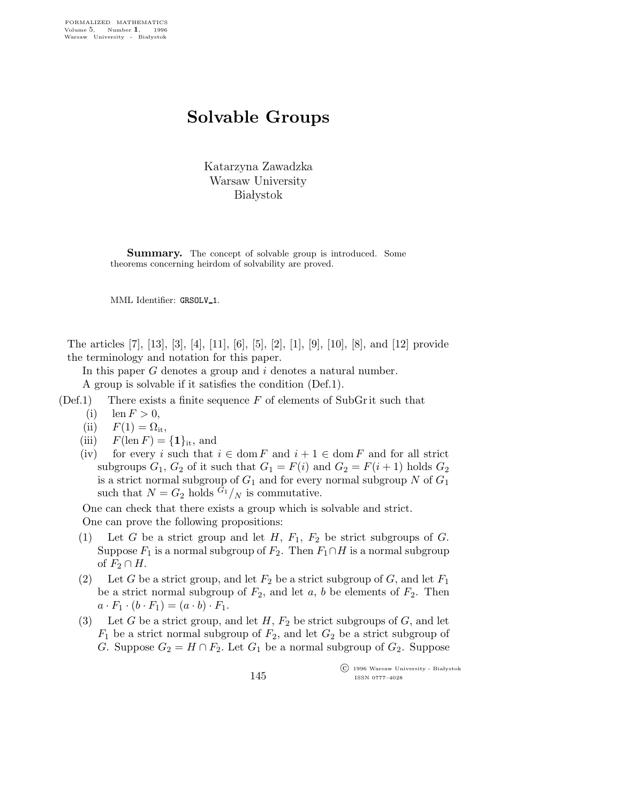## Solvable Groups

Katarzyna Zawadzka Warsaw University **Białystok** 

**Summary.** The concept of solvable group is introduced. Some theorems concerning heirdom of solvability are proved.

MML Identifier: GRSOLV 1.

The articles [7], [13], [3], [4], [11], [6], [5], [2], [1], [9], [10], [8], and [12] provide the terminology and notation for this paper.

In this paper G denotes a group and i denotes a natural number.

A group is solvable if it satisfies the condition (Def.1).

- $(Def.1)$  There exists a finite sequence F of elements of SubGr it such that
	- (i) len  $F > 0$ ,
	- (ii)  $F(1) = \Omega_{it}$ ,
	- (iii)  $F(\operatorname{len} F) = \{1\}_{\text{it}}$ , and
	- (iv) for every i such that  $i \in \text{dom } F$  and  $i + 1 \in \text{dom } F$  and for all strict subgroups  $G_1, G_2$  of it such that  $G_1 = F(i)$  and  $G_2 = F(i + 1)$  holds  $G_2$ is a strict normal subgroup of  $G_1$  and for every normal subgroup N of  $G_1$ such that  $N = G_2$  holds  $\hat{G}_1 / N$  is commutative.

One can check that there exists a group which is solvable and strict. One can prove the following propositions:

- (1) Let G be a strict group and let H,  $F_1$ ,  $F_2$  be strict subgroups of G. Suppose  $F_1$  is a normal subgroup of  $F_2$ . Then  $F_1 \cap H$  is a normal subgroup of  $F_2 \cap H$ .
- (2) Let G be a strict group, and let  $F_2$  be a strict subgroup of G, and let  $F_1$ be a strict normal subgroup of  $F_2$ , and let a, b be elements of  $F_2$ . Then  $a \cdot F_1 \cdot (b \cdot F_1) = (a \cdot b) \cdot F_1.$
- (3) Let G be a strict group, and let  $H$ ,  $F_2$  be strict subgroups of G, and let  $F_1$  be a strict normal subgroup of  $F_2$ , and let  $G_2$  be a strict subgroup of G. Suppose  $G_2 = H \cap F_2$ . Let  $G_1$  be a normal subgroup of  $G_2$ . Suppose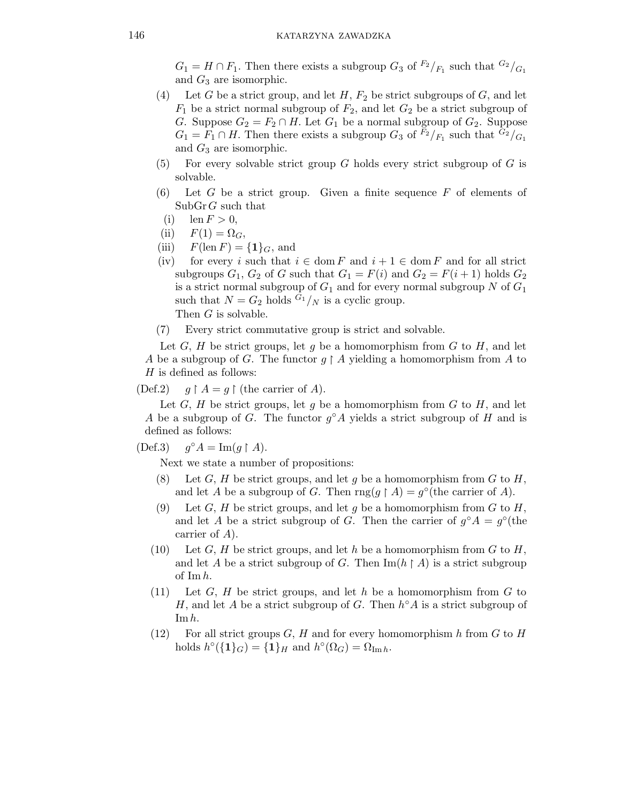$G_1 = H \cap F_1$ . Then there exists a subgroup  $G_3$  of  $F_2/F_1$  such that  $G_2/F_1$ and  $G_3$  are isomorphic.

- (4) Let G be a strict group, and let H,  $F_2$  be strict subgroups of G, and let  $F_1$  be a strict normal subgroup of  $F_2$ , and let  $G_2$  be a strict subgroup of G. Suppose  $G_2 = F_2 \cap H$ . Let  $G_1$  be a normal subgroup of  $G_2$ . Suppose  $G_1 = F_1 \cap H$ . Then there exists a subgroup  $G_3$  of  $\overline{F_2}/F_1$  such that  $\overline{G_2}/F_1$ and  $G_3$  are isomorphic.
- (5) For every solvable strict group  $G$  holds every strict subgroup of  $G$  is solvable.
- (6) Let G be a strict group. Given a finite sequence  $F$  of elements of  $\text{SubGr }G$  such that
	- (i)  $\text{len } F > 0$ ,
- (ii)  $F(1) = \Omega_G$ ,
- (iii)  $F(\operatorname{len} F) = \{1\}_G$ , and
- (iv) for every i such that  $i \in \text{dom } F$  and  $i + 1 \in \text{dom } F$  and for all strict subgroups  $G_1$ ,  $G_2$  of G such that  $G_1 = F(i)$  and  $G_2 = F(i+1)$  holds  $G_2$ is a strict normal subgroup of  $G_1$  and for every normal subgroup N of  $G_1$ such that  $N = G_2$  holds  $G_1 / N$  is a cyclic group. Then G is solvable.
- (7) Every strict commutative group is strict and solvable.

Let  $G, H$  be strict groups, let g be a homomorphism from  $G$  to  $H$ , and let A be a subgroup of G. The functor  $g \restriction A$  yielding a homomorphism from A to  $H$  is defined as follows:

 $(Def.2)$  $A = g \upharpoonright$  (the carrier of A).

Let  $G, H$  be strict groups, let g be a homomorphism from  $G$  to  $H$ , and let A be a subgroup of G. The functor  $g^{\circ}A$  yields a strict subgroup of H and is defined as follows:

 $(Def.3)$ ° $A = \text{Im}(g \restriction A).$ 

Next we state a number of propositions:

- (8) Let  $G, H$  be strict groups, and let g be a homomorphism from  $G$  to  $H$ , and let A be a subgroup of G. Then rng(g  $\restriction A$ ) = g<sup>o</sup>(the carrier of A).
- (9) Let G, H be strict groups, and let g be a homomorphism from G to H, and let A be a strict subgroup of G. Then the carrier of  $g^{\circ}A = g^{\circ}$  (the carrier of A).
- (10) Let G, H be strict groups, and let h be a homomorphism from G to H, and let A be a strict subgroup of G. Then  $\text{Im}(h \upharpoonright A)$  is a strict subgroup of  $\text{Im } h$ .
- $(11)$  Let G, H be strict groups, and let h be a homomorphism from G to H, and let A be a strict subgroup of G. Then  $h^{\circ}A$  is a strict subgroup of Im h.
- (12) For all strict groups  $G, H$  and for every homomorphism h from G to H holds  $h^{\circ}(\{1\}_G) = \{1\}_H$  and  $h^{\circ}(\Omega_G) = \Omega_{\text{Im }h}$ .